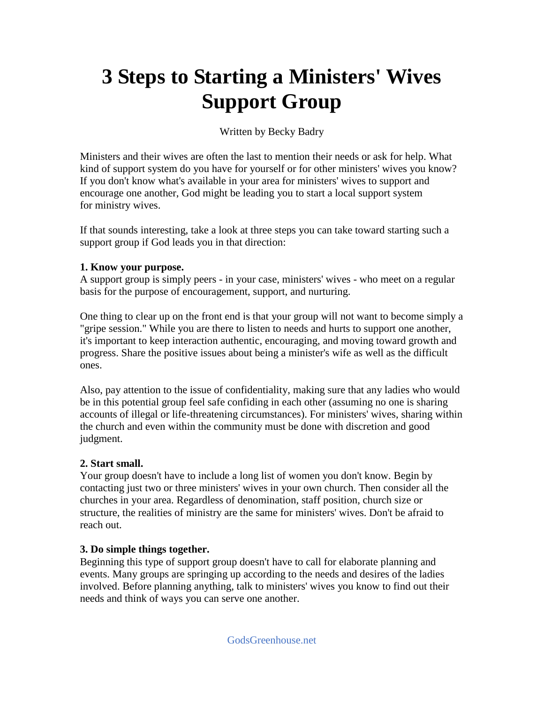## **3 Steps to Starting a Ministers' Wives Support Group**

Written by Becky Badry

Ministers and their wives are often the last to mention their needs or ask for help. What kind of support system do you have for yourself or for other ministers' wives you know? If you don't know what's available in your area for ministers' wives to support and encourage one another, God might be leading you to start a local support system for ministry wives.

If that sounds interesting, take a look at three steps you can take toward starting such a support group if God leads you in that direction:

## **1. Know your purpose.**

A support group is simply peers - in your case, ministers' wives - who meet on a regular basis for the purpose of encouragement, support, and nurturing.

One thing to clear up on the front end is that your group will not want to become simply a "gripe session." While you are there to listen to needs and hurts to support one another, it's important to keep interaction authentic, encouraging, and moving toward growth and progress. Share the positive issues about being a minister's wife as well as the difficult ones.

Also, pay attention to the issue of confidentiality, making sure that any ladies who would be in this potential group feel safe confiding in each other (assuming no one is sharing accounts of illegal or life-threatening circumstances). For ministers' wives, sharing within the church and even within the community must be done with discretion and good judgment.

## **2. Start small.**

Your group doesn't have to include a long list of women you don't know. Begin by contacting just two or three ministers' wives in your own church. Then consider all the churches in your area. Regardless of denomination, staff position, church size or structure, the realities of ministry are the same for ministers' wives. Don't be afraid to reach out.

## **3. Do simple things together.**

Beginning this type of support group doesn't have to call for elaborate planning and events. Many groups are springing up according to the needs and desires of the ladies involved. Before planning anything, talk to ministers' wives you know to find out their needs and think of ways you can serve one another.